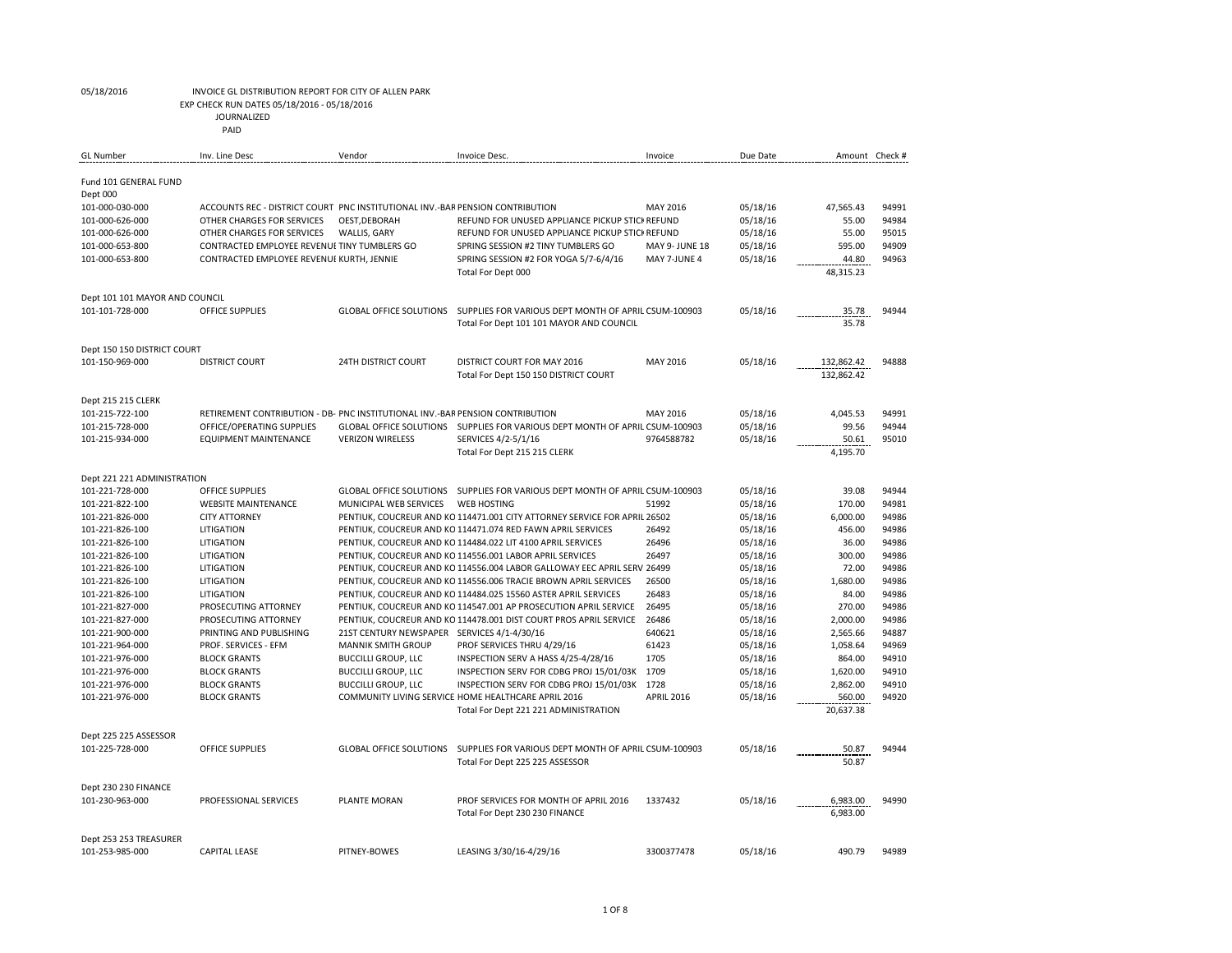EXP CHECK RUN DATES 05/18/2016 - 05/18/2016

JOURNALIZED

| <b>GL Number</b>                  | Inv. Line Desc                                                                | Vendor                                      | Invoice Desc.                                                                 | Invoice               | Due Date | Amount Check #           |       |
|-----------------------------------|-------------------------------------------------------------------------------|---------------------------------------------|-------------------------------------------------------------------------------|-----------------------|----------|--------------------------|-------|
| Fund 101 GENERAL FUND<br>Dept 000 |                                                                               |                                             |                                                                               |                       |          |                          |       |
| 101-000-030-000                   | ACCOUNTS REC - DISTRICT COURT PNC INSTITUTIONAL INV.-BAR PENSION CONTRIBUTION |                                             |                                                                               | MAY 2016              | 05/18/16 | 47,565.43                | 94991 |
| 101-000-626-000                   | OTHER CHARGES FOR SERVICES                                                    | OEST, DEBORAH                               | REFUND FOR UNUSED APPLIANCE PICKUP STICI REFUND                               |                       | 05/18/16 | 55.00                    | 94984 |
| 101-000-626-000                   | OTHER CHARGES FOR SERVICES                                                    | WALLIS, GARY                                | REFUND FOR UNUSED APPLIANCE PICKUP STICI REFUND                               |                       | 05/18/16 | 55.00                    | 95015 |
| 101-000-653-800                   | CONTRACTED EMPLOYEE REVENUE TINY TUMBLERS GO                                  |                                             | SPRING SESSION #2 TINY TUMBLERS GO                                            | <b>MAY 9- JUNE 18</b> | 05/18/16 | 595.00                   | 94909 |
| 101-000-653-800                   | CONTRACTED EMPLOYEE REVENUE KURTH, JENNIE                                     |                                             | SPRING SESSION #2 FOR YOGA 5/7-6/4/16                                         | MAY 7-JUNE 4          | 05/18/16 | 44.80                    | 94963 |
|                                   |                                                                               |                                             | Total For Dept 000                                                            |                       |          | 48,315.23                |       |
| Dept 101 101 MAYOR AND COUNCIL    |                                                                               |                                             |                                                                               |                       |          |                          |       |
| 101-101-728-000                   | OFFICE SUPPLIES                                                               |                                             | GLOBAL OFFICE SOLUTIONS SUPPLIES FOR VARIOUS DEPT MONTH OF APRIL CSUM-100903  |                       | 05/18/16 | 35.78                    | 94944 |
|                                   |                                                                               |                                             | Total For Dept 101 101 MAYOR AND COUNCIL                                      |                       |          | 35.78                    |       |
| Dept 150 150 DISTRICT COURT       |                                                                               |                                             |                                                                               |                       |          |                          |       |
| 101-150-969-000                   | <b>DISTRICT COURT</b>                                                         | <b>24TH DISTRICT COURT</b>                  | DISTRICT COURT FOR MAY 2016                                                   | MAY 2016              | 05/18/16 | 132,862.42<br>132.862.42 | 94888 |
|                                   |                                                                               |                                             | Total For Dept 150 150 DISTRICT COURT                                         |                       |          |                          |       |
| Dept 215 215 CLERK                |                                                                               |                                             |                                                                               |                       |          |                          |       |
| 101-215-722-100                   | RETIREMENT CONTRIBUTION - DB- PNC INSTITUTIONAL INV.-BAR PENSION CONTRIBUTION |                                             |                                                                               | MAY 2016              | 05/18/16 | 4,045.53                 | 94991 |
| 101-215-728-000                   | OFFICE/OPERATING SUPPLIES                                                     |                                             | GLOBAL OFFICE SOLUTIONS SUPPLIES FOR VARIOUS DEPT MONTH OF APRIL CSUM-100903  |                       | 05/18/16 | 99.56                    | 94944 |
| 101-215-934-000                   | <b>EQUIPMENT MAINTENANCE</b>                                                  | <b>VERIZON WIRELESS</b>                     | SERVICES 4/2-5/1/16                                                           | 9764588782            | 05/18/16 | 50.61                    | 95010 |
|                                   |                                                                               |                                             | Total For Dept 215 215 CLERK                                                  |                       |          | 4,195.70                 |       |
| Dept 221 221 ADMINISTRATION       |                                                                               |                                             |                                                                               |                       |          |                          |       |
| 101-221-728-000                   | OFFICE SUPPLIES                                                               |                                             | GLOBAL OFFICE SOLUTIONS  SUPPLIES FOR VARIOUS DEPT MONTH OF APRIL CSUM-100903 |                       | 05/18/16 | 39.08                    | 94944 |
| 101-221-822-100                   | <b>WEBSITE MAINTENANCE</b>                                                    | MUNICIPAL WEB SERVICES                      | <b>WEB HOSTING</b>                                                            | 51992                 | 05/18/16 | 170.00                   | 94981 |
| 101-221-826-000                   | <b>CITY ATTORNEY</b>                                                          |                                             | PENTIUK, COUCREUR AND KO 114471.001 CITY ATTORNEY SERVICE FOR APRIL 26502     |                       | 05/18/16 | 6,000.00                 | 94986 |
| 101-221-826-100                   | LITIGATION                                                                    |                                             | PENTIUK, COUCREUR AND KO 114471.074 RED FAWN APRIL SERVICES                   | 26492                 | 05/18/16 | 456.00                   | 94986 |
| 101-221-826-100                   | LITIGATION                                                                    |                                             | PENTIUK, COUCREUR AND KO 114484.022 LIT 4100 APRIL SERVICES                   | 26496                 | 05/18/16 | 36.00                    | 94986 |
| 101-221-826-100                   | LITIGATION                                                                    |                                             | PENTIUK, COUCREUR AND KO 114556.001 LABOR APRIL SERVICES                      | 26497                 | 05/18/16 | 300.00                   | 94986 |
| 101-221-826-100                   | LITIGATION                                                                    |                                             | PENTIUK, COUCREUR AND KO 114556.004 LABOR GALLOWAY EEC APRIL SERV 26499       |                       | 05/18/16 | 72.00                    | 94986 |
| 101-221-826-100                   | LITIGATION                                                                    |                                             | PENTIUK, COUCREUR AND KO 114556.006 TRACIE BROWN APRIL SERVICES               | 26500                 | 05/18/16 | 1,680.00                 | 94986 |
| 101-221-826-100                   | LITIGATION                                                                    |                                             | PENTIUK, COUCREUR AND KO 114484.025 15560 ASTER APRIL SERVICES                | 26483                 | 05/18/16 | 84.00                    | 94986 |
| 101-221-827-000                   | PROSECUTING ATTORNEY                                                          |                                             | PENTIUK, COUCREUR AND KO 114547.001 AP PROSECUTION APRIL SERVICE              | 26495                 | 05/18/16 | 270.00                   | 94986 |
| 101-221-827-000                   | PROSECUTING ATTORNEY                                                          |                                             | PENTIUK, COUCREUR AND KO 114478.001 DIST COURT PROS APRIL SERVICE             | 26486                 | 05/18/16 | 2,000.00                 | 94986 |
| 101-221-900-000                   | PRINTING AND PUBLISHING                                                       | 21ST CENTURY NEWSPAPER SERVICES 4/1-4/30/16 |                                                                               | 640621                | 05/18/16 | 2,565.66                 | 94887 |
| 101-221-964-000                   | PROF. SERVICES - EFM                                                          | <b>MANNIK SMITH GROUP</b>                   | PROF SERVICES THRU 4/29/16                                                    | 61423                 | 05/18/16 | 1,058.64                 | 94969 |
| 101-221-976-000                   | <b>BLOCK GRANTS</b>                                                           | <b>BUCCILLI GROUP, LLC</b>                  | INSPECTION SERV A HASS 4/25-4/28/16                                           | 1705                  | 05/18/16 | 864.00                   | 94910 |
| 101-221-976-000                   | <b>BLOCK GRANTS</b>                                                           | <b>BUCCILLI GROUP, LLC</b>                  | INSPECTION SERV FOR CDBG PROJ 15/01/03K 1709                                  |                       | 05/18/16 | 1,620.00                 | 94910 |
| 101-221-976-000                   | <b>BLOCK GRANTS</b>                                                           | <b>BUCCILLI GROUP, LLC</b>                  | INSPECTION SERV FOR CDBG PROJ 15/01/03K 1728                                  |                       | 05/18/16 | 2,862.00                 | 94910 |
| 101-221-976-000                   | <b>BLOCK GRANTS</b>                                                           |                                             | COMMUNITY LIVING SERVICE HOME HEALTHCARE APRIL 2016                           | <b>APRIL 2016</b>     | 05/18/16 | 560.00                   | 94920 |
|                                   |                                                                               |                                             | Total For Dept 221 221 ADMINISTRATION                                         |                       |          | 20,637.38                |       |
| Dept 225 225 ASSESSOR             |                                                                               |                                             |                                                                               |                       |          |                          |       |
| 101-225-728-000                   | <b>OFFICE SUPPLIES</b>                                                        |                                             | GLOBAL OFFICE SOLUTIONS  SUPPLIES FOR VARIOUS DEPT MONTH OF APRIL CSUM-100903 |                       | 05/18/16 | 50.87                    | 94944 |
|                                   |                                                                               |                                             | Total For Dept 225 225 ASSESSOR                                               |                       |          | 50.87                    |       |
| Dept 230 230 FINANCE              |                                                                               |                                             |                                                                               |                       |          |                          |       |
| 101-230-963-000                   | PROFESSIONAL SERVICES                                                         | PLANTE MORAN                                | PROF SERVICES FOR MONTH OF APRIL 2016                                         | 1337432               | 05/18/16 | 6,983.00                 | 94990 |
|                                   |                                                                               |                                             | Total For Dept 230 230 FINANCE                                                |                       |          | 6,983.00                 |       |
| Dept 253 253 TREASURER            |                                                                               |                                             |                                                                               |                       |          |                          |       |
| 101-253-985-000                   | <b>CAPITAL LEASE</b>                                                          | PITNEY-BOWES                                | LEASING 3/30/16-4/29/16                                                       | 3300377478            | 05/18/16 | 490.79                   | 94989 |
|                                   |                                                                               |                                             |                                                                               |                       |          |                          |       |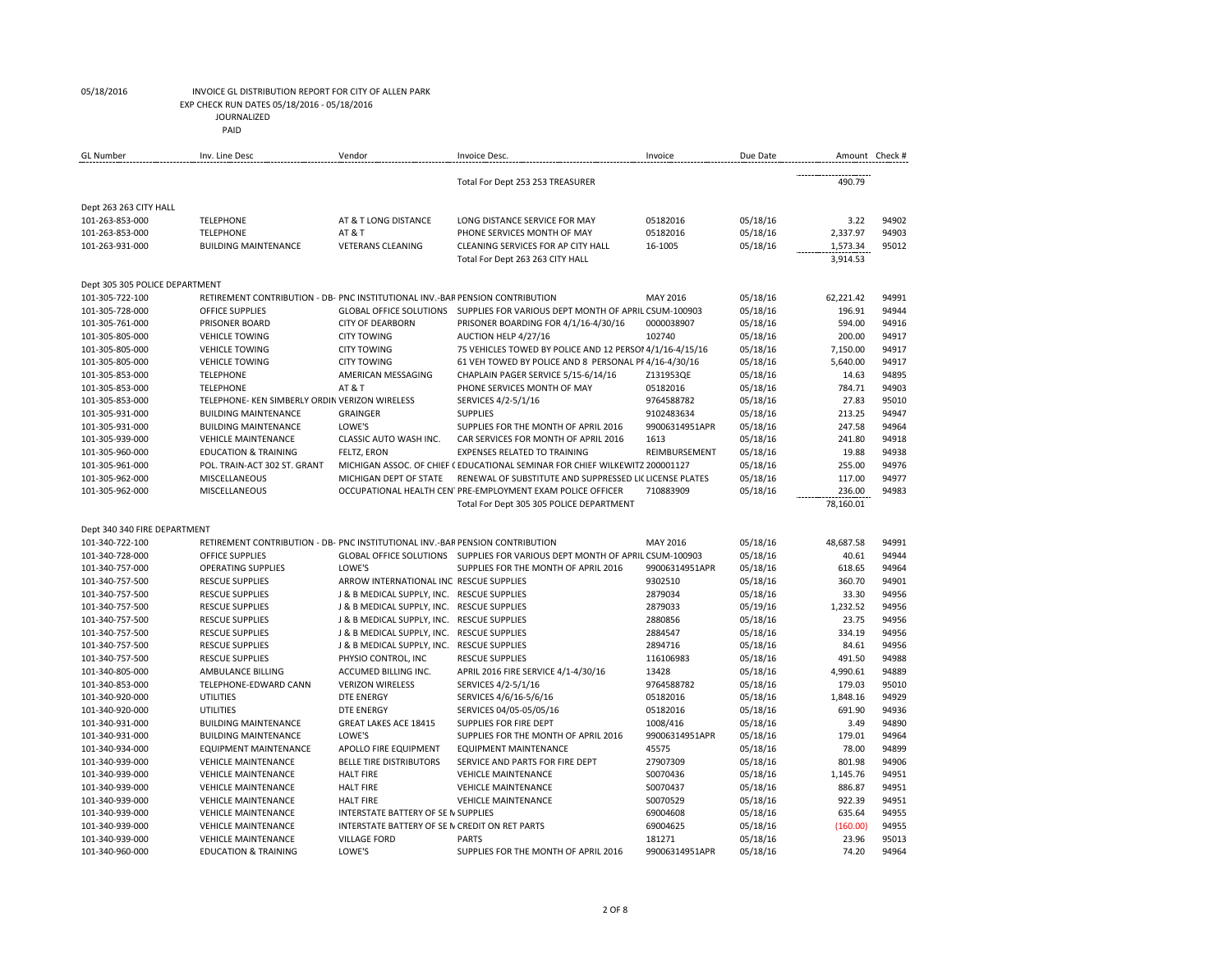EXP CHECK RUN DATES 05/18/2016 - 05/18/2016

JOURNALIZED

| <b>GL Number</b>               | Inv. Line Desc                                                                | Vendor                                         | Invoice Desc.                                                                | Invoice        | Due Date | Amount Check # |       |
|--------------------------------|-------------------------------------------------------------------------------|------------------------------------------------|------------------------------------------------------------------------------|----------------|----------|----------------|-------|
|                                |                                                                               |                                                | Total For Dept 253 253 TREASURER                                             |                |          | 490.79         |       |
| Dept 263 263 CITY HALL         |                                                                               |                                                |                                                                              |                |          |                |       |
| 101-263-853-000                | <b>TELEPHONE</b>                                                              | AT & T LONG DISTANCE                           | LONG DISTANCE SERVICE FOR MAY                                                | 05182016       | 05/18/16 | 3.22           | 94902 |
| 101-263-853-000                | <b>TELEPHONE</b>                                                              | AT & T                                         | PHONE SERVICES MONTH OF MAY                                                  | 05182016       | 05/18/16 | 2,337.97       | 94903 |
| 101-263-931-000                | <b>BUILDING MAINTENANCE</b>                                                   | <b>VETERANS CLEANING</b>                       | CLEANING SERVICES FOR AP CITY HALL                                           | 16-1005        | 05/18/16 | 1,573.34       | 95012 |
|                                |                                                                               |                                                | Total For Dept 263 263 CITY HALL                                             |                |          | 3,914.53       |       |
| Dept 305 305 POLICE DEPARTMENT |                                                                               |                                                |                                                                              |                |          |                |       |
| 101-305-722-100                | RETIREMENT CONTRIBUTION - DB- PNC INSTITUTIONAL INV.-BAR PENSION CONTRIBUTION |                                                |                                                                              | MAY 2016       | 05/18/16 | 62.221.42      | 94991 |
| 101-305-728-000                | OFFICE SUPPLIES                                                               |                                                | GLOBAL OFFICE SOLUTIONS SUPPLIES FOR VARIOUS DEPT MONTH OF APRIL CSUM-100903 |                | 05/18/16 | 196.91         | 94944 |
| 101-305-761-000                | PRISONER BOARD                                                                | <b>CITY OF DEARBORN</b>                        | PRISONER BOARDING FOR 4/1/16-4/30/16                                         | 0000038907     | 05/18/16 | 594.00         | 94916 |
| 101-305-805-000                | <b>VEHICLE TOWING</b>                                                         | <b>CITY TOWING</b>                             | AUCTION HELP 4/27/16                                                         | 102740         | 05/18/16 | 200.00         | 94917 |
| 101-305-805-000                | <b>VEHICLE TOWING</b>                                                         | <b>CITY TOWING</b>                             | 75 VEHICLES TOWED BY POLICE AND 12 PERSOI 4/1/16-4/15/16                     |                | 05/18/16 | 7,150.00       | 94917 |
| 101-305-805-000                | <b>VEHICLE TOWING</b>                                                         | <b>CITY TOWING</b>                             | 61 VEH TOWED BY POLICE AND 8 PERSONAL PF 4/16-4/30/16                        |                | 05/18/16 | 5,640.00       | 94917 |
| 101-305-853-000                | <b>TELEPHONE</b>                                                              | AMERICAN MESSAGING                             | CHAPLAIN PAGER SERVICE 5/15-6/14/16                                          | Z131953QE      | 05/18/16 | 14.63          | 94895 |
| 101-305-853-000                | <b>TELEPHONE</b>                                                              | <b>AT&amp;T</b>                                | PHONE SERVICES MONTH OF MAY                                                  | 05182016       | 05/18/16 | 784.71         | 94903 |
| 101-305-853-000                | TELEPHONE- KEN SIMBERLY ORDIN VERIZON WIRELESS                                |                                                | SERVICES 4/2-5/1/16                                                          | 9764588782     | 05/18/16 | 27.83          | 95010 |
| 101-305-931-000                | <b>BUILDING MAINTENANCE</b>                                                   | <b>GRAINGER</b>                                | <b>SUPPLIES</b>                                                              | 9102483634     | 05/18/16 | 213.25         | 94947 |
| 101-305-931-000                | <b>BUILDING MAINTENANCE</b>                                                   | LOWE'S                                         | SUPPLIES FOR THE MONTH OF APRIL 2016                                         | 99006314951APR | 05/18/16 | 247.58         | 94964 |
| 101-305-939-000                | <b>VEHICLE MAINTENANCE</b>                                                    | CLASSIC AUTO WASH INC.                         | CAR SERVICES FOR MONTH OF APRIL 2016                                         | 1613           | 05/18/16 | 241.80         | 94918 |
| 101-305-960-000                | <b>EDUCATION &amp; TRAINING</b>                                               | <b>FELTZ, ERON</b>                             | EXPENSES RELATED TO TRAINING                                                 | REIMBURSEMENT  | 05/18/16 | 19.88          | 94938 |
| 101-305-961-000                | POL. TRAIN-ACT 302 ST. GRANT                                                  |                                                | MICHIGAN ASSOC. OF CHIEF (EDUCATIONAL SEMINAR FOR CHIEF WILKEWITZ 200001127  |                | 05/18/16 | 255.00         | 94976 |
| 101-305-962-000                | MISCELLANEOUS                                                                 | MICHIGAN DEPT OF STATE                         | RENEWAL OF SUBSTITUTE AND SUPPRESSED LICLICENSE PLATES                       |                | 05/18/16 | 117.00         | 94977 |
| 101-305-962-000                | MISCELLANEOUS                                                                 |                                                | OCCUPATIONAL HEALTH CENTPRE-EMPLOYMENT EXAM POLICE OFFICER                   | 710883909      | 05/18/16 | 236.00         | 94983 |
|                                |                                                                               |                                                | Total For Dept 305 305 POLICE DEPARTMENT                                     |                |          | 78,160.01      |       |
| Dept 340 340 FIRE DEPARTMENT   |                                                                               |                                                |                                                                              |                |          |                |       |
| 101-340-722-100                | RETIREMENT CONTRIBUTION - DB- PNC INSTITUTIONAL INV.-BAR PENSION CONTRIBUTION |                                                |                                                                              | MAY 2016       | 05/18/16 | 48,687.58      | 94991 |
| 101-340-728-000                | <b>OFFICE SUPPLIES</b>                                                        |                                                | GLOBAL OFFICE SOLUTIONS SUPPLIES FOR VARIOUS DEPT MONTH OF APRIL CSUM-100903 |                | 05/18/16 | 40.61          | 94944 |
| 101-340-757-000                | <b>OPERATING SUPPLIES</b>                                                     | LOWE'S                                         | SUPPLIES FOR THE MONTH OF APRIL 2016                                         | 99006314951APR | 05/18/16 | 618.65         | 94964 |
| 101-340-757-500                | <b>RESCUE SUPPLIES</b>                                                        | ARROW INTERNATIONAL INC RESCUE SUPPLIES        |                                                                              | 9302510        | 05/18/16 | 360.70         | 94901 |
| 101-340-757-500                | <b>RESCUE SUPPLIES</b>                                                        | J & B MEDICAL SUPPLY, INC. RESCUE SUPPLIES     |                                                                              | 2879034        | 05/18/16 | 33.30          | 94956 |
| 101-340-757-500                | <b>RESCUE SUPPLIES</b>                                                        | J & B MEDICAL SUPPLY, INC. RESCUE SUPPLIES     |                                                                              | 2879033        | 05/19/16 | 1,232.52       | 94956 |
| 101-340-757-500                | <b>RESCUE SUPPLIES</b>                                                        | J & B MEDICAL SUPPLY, INC. RESCUE SUPPLIES     |                                                                              | 2880856        | 05/18/16 | 23.75          | 94956 |
| 101-340-757-500                | <b>RESCUE SUPPLIES</b>                                                        | J & B MEDICAL SUPPLY, INC. RESCUE SUPPLIES     |                                                                              | 2884547        | 05/18/16 | 334.19         | 94956 |
| 101-340-757-500                | <b>RESCUE SUPPLIES</b>                                                        | J & B MEDICAL SUPPLY, INC. RESCUE SUPPLIES     |                                                                              | 2894716        | 05/18/16 | 84.61          | 94956 |
| 101-340-757-500                | <b>RESCUE SUPPLIES</b>                                                        | PHYSIO CONTROL, INC                            | <b>RESCUE SUPPLIES</b>                                                       | 116106983      | 05/18/16 | 491.50         | 94988 |
| 101-340-805-000                | AMBULANCE BILLING                                                             | ACCUMED BILLING INC.                           | APRIL 2016 FIRE SERVICE 4/1-4/30/16                                          | 13428          | 05/18/16 | 4,990.61       | 94889 |
| 101-340-853-000                | TELEPHONE-EDWARD CANN                                                         | <b>VERIZON WIRELESS</b>                        | SERVICES 4/2-5/1/16                                                          | 9764588782     | 05/18/16 | 179.03         | 95010 |
| 101-340-920-000                | <b>UTILITIES</b>                                                              | <b>DTE ENERGY</b>                              | SERVICES 4/6/16-5/6/16                                                       | 05182016       | 05/18/16 | 1,848.16       | 94929 |
| 101-340-920-000                | <b>UTILITIES</b>                                                              | <b>DTE ENERGY</b>                              | SERVICES 04/05-05/05/16                                                      | 05182016       | 05/18/16 | 691.90         | 94936 |
| 101-340-931-000                | <b>BUILDING MAINTENANCE</b>                                                   | <b>GREAT LAKES ACE 18415</b>                   | SUPPLIES FOR FIRE DEPT                                                       | 1008/416       | 05/18/16 | 3.49           | 94890 |
| 101-340-931-000                | <b>BUILDING MAINTENANCE</b>                                                   | LOWE'S                                         | SUPPLIES FOR THE MONTH OF APRIL 2016                                         | 99006314951APR | 05/18/16 | 179.01         | 94964 |
| 101-340-934-000                | <b>EQUIPMENT MAINTENANCE</b>                                                  | APOLLO FIRE EQUIPMENT                          | <b>EQUIPMENT MAINTENANCE</b>                                                 | 45575          | 05/18/16 | 78.00          | 94899 |
| 101-340-939-000                | <b>VEHICLE MAINTENANCE</b>                                                    | <b>BELLE TIRE DISTRIBUTORS</b>                 | SERVICE AND PARTS FOR FIRE DEPT                                              | 27907309       | 05/18/16 | 801.98         | 94906 |
| 101-340-939-000                | <b>VEHICLE MAINTENANCE</b>                                                    | <b>HALT FIRE</b>                               | <b>VEHICLE MAINTENANCE</b>                                                   | S0070436       | 05/18/16 | 1,145.76       | 94951 |
| 101-340-939-000                | <b>VEHICLE MAINTENANCE</b>                                                    | <b>HALT FIRE</b>                               | <b>VEHICLE MAINTENANCE</b>                                                   | S0070437       | 05/18/16 | 886.87         | 94951 |
| 101-340-939-000                | <b>VEHICLE MAINTENANCE</b>                                                    | <b>HALT FIRE</b>                               | <b>VEHICLE MAINTENANCE</b>                                                   | S0070529       | 05/18/16 | 922.39         | 94951 |
| 101-340-939-000                | <b>VEHICLE MAINTENANCE</b>                                                    | INTERSTATE BATTERY OF SE IN SUPPLIES           |                                                                              | 69004608       | 05/18/16 | 635.64         | 94955 |
| 101-340-939-000                | <b>VEHICLE MAINTENANCE</b>                                                    | INTERSTATE BATTERY OF SE N CREDIT ON RET PARTS |                                                                              | 69004625       | 05/18/16 | (160.00)       | 94955 |
| 101-340-939-000                | <b>VEHICLE MAINTENANCE</b>                                                    | <b>VILLAGE FORD</b>                            | <b>PARTS</b>                                                                 | 181271         | 05/18/16 | 23.96          | 95013 |
| 101-340-960-000                | <b>EDUCATION &amp; TRAINING</b>                                               | LOWE'S                                         | SUPPLIES FOR THE MONTH OF APRIL 2016                                         | 99006314951APR | 05/18/16 | 74.20          | 94964 |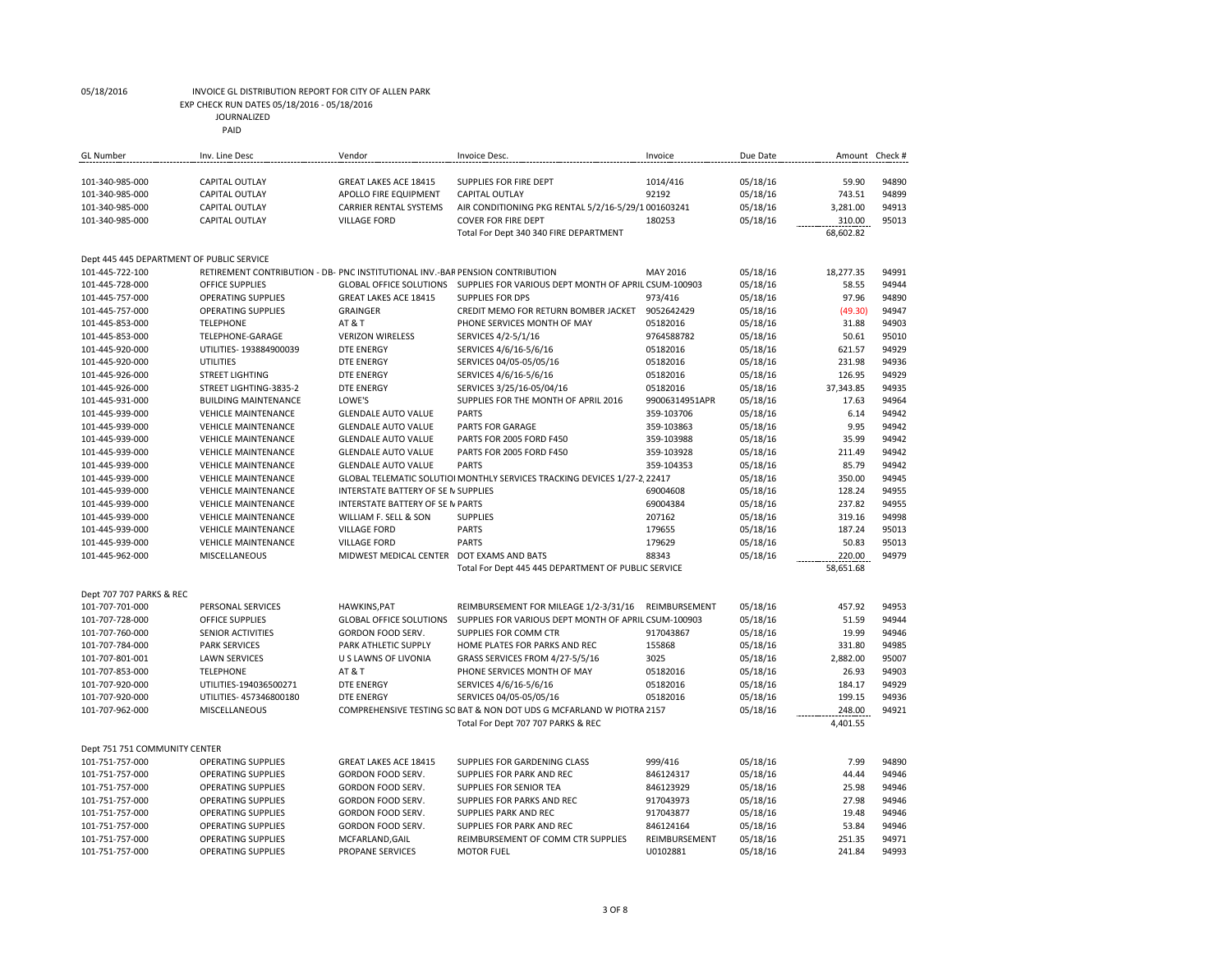EXP CHECK RUN DATES 05/18/2016 - 05/18/2016

JOURNALIZED

| <b>GL Number</b>                          | Inv. Line Desc                                                                | Vendor                              | <b>Invoice Desc</b>                                                                                        | Invoice        | Due Date | Amount Check #     |       |
|-------------------------------------------|-------------------------------------------------------------------------------|-------------------------------------|------------------------------------------------------------------------------------------------------------|----------------|----------|--------------------|-------|
| 101-340-985-000                           | <b>CAPITAL OUTLAY</b>                                                         | <b>GREAT LAKES ACE 18415</b>        | SUPPLIES FOR FIRE DEPT                                                                                     | 1014/416       | 05/18/16 | 59.90              | 94890 |
| 101-340-985-000                           | <b>CAPITAL OUTLAY</b>                                                         | APOLLO FIRE EQUIPMENT               | <b>CAPITAL OUTLAY</b>                                                                                      | 92192          | 05/18/16 | 743.51             | 94899 |
| 101-340-985-000                           | <b>CAPITAL OUTLAY</b>                                                         | <b>CARRIER RENTAL SYSTEMS</b>       | AIR CONDITIONING PKG RENTAL 5/2/16-5/29/1 001603241                                                        |                | 05/18/16 | 3,281.00           | 94913 |
| 101-340-985-000                           | <b>CAPITAL OUTLAY</b>                                                         | <b>VILLAGE FORD</b>                 | <b>COVER FOR FIRE DEPT</b>                                                                                 | 180253         | 05/18/16 | 310.00             | 95013 |
|                                           |                                                                               |                                     | Total For Dept 340 340 FIRE DEPARTMENT                                                                     |                |          | 68,602.82          |       |
| Dept 445 445 DEPARTMENT OF PUBLIC SERVICE |                                                                               |                                     |                                                                                                            |                |          |                    |       |
| 101-445-722-100                           | RETIREMENT CONTRIBUTION - DB- PNC INSTITUTIONAL INV.-BAR PENSION CONTRIBUTION |                                     |                                                                                                            | MAY 2016       | 05/18/16 | 18,277.35          | 94991 |
| 101-445-728-000                           | OFFICE SUPPLIES                                                               | <b>GLOBAL OFFICE SOLUTIONS</b>      | SUPPLIES FOR VARIOUS DEPT MONTH OF APRIL CSUM-100903                                                       |                | 05/18/16 | 58.55              | 94944 |
| 101-445-757-000                           | <b>OPERATING SUPPLIES</b>                                                     | <b>GREAT LAKES ACE 18415</b>        | <b>SUPPLIES FOR DPS</b>                                                                                    | 973/416        | 05/18/16 | 97.96              | 94890 |
| 101-445-757-000                           | <b>OPERATING SUPPLIES</b>                                                     | <b>GRAINGER</b>                     | CREDIT MEMO FOR RETURN BOMBER JACKET                                                                       | 9052642429     | 05/18/16 | (49.30)            | 94947 |
| 101-445-853-000                           | <b>TELEPHONE</b>                                                              | AT&T                                | PHONE SERVICES MONTH OF MAY                                                                                | 05182016       | 05/18/16 | 31.88              | 94903 |
| 101-445-853-000                           | TELEPHONE-GARAGE                                                              | <b>VERIZON WIRELESS</b>             | SERVICES 4/2-5/1/16                                                                                        | 9764588782     | 05/18/16 | 50.61              | 95010 |
| 101-445-920-000                           | UTILITIES- 193884900039                                                       | <b>DTE ENERGY</b>                   | SERVICES 4/6/16-5/6/16                                                                                     | 05182016       | 05/18/16 | 621.57             | 94929 |
| 101-445-920-000                           | UTILITIES                                                                     | DTE ENERGY                          | SERVICES 04/05-05/05/16                                                                                    | 05182016       | 05/18/16 | 231.98             | 94936 |
| 101-445-926-000                           | <b>STREET LIGHTING</b>                                                        | <b>DTE ENERGY</b>                   | SERVICES 4/6/16-5/6/16                                                                                     | 05182016       | 05/18/16 | 126.95             | 94929 |
| 101-445-926-000                           | STREET LIGHTING-3835-2                                                        | DTE ENERGY                          | SERVICES 3/25/16-05/04/16                                                                                  | 05182016       | 05/18/16 | 37,343.85          | 94935 |
| 101-445-931-000                           | <b>BUILDING MAINTENANCE</b>                                                   | LOWE'S                              | SUPPLIES FOR THE MONTH OF APRIL 2016                                                                       | 99006314951APR | 05/18/16 | 17.63              | 94964 |
| 101-445-939-000                           | <b>VEHICLE MAINTENANCE</b>                                                    | <b>GLENDALE AUTO VALUE</b>          | PARTS                                                                                                      | 359-103706     | 05/18/16 | 6.14               | 94942 |
| 101-445-939-000                           | <b>VEHICLE MAINTENANCE</b>                                                    | <b>GLENDALE AUTO VALUE</b>          | PARTS FOR GARAGE                                                                                           | 359-103863     | 05/18/16 | 9.95               | 94942 |
| 101-445-939-000                           | <b>VEHICLE MAINTENANCE</b>                                                    | <b>GLENDALE AUTO VALUE</b>          | PARTS FOR 2005 FORD F450                                                                                   | 359-103988     | 05/18/16 | 35.99              | 94942 |
| 101-445-939-000                           | <b>VEHICLE MAINTENANCE</b>                                                    | <b>GLENDALE AUTO VALUE</b>          | PARTS FOR 2005 FORD F450                                                                                   | 359-103928     | 05/18/16 | 211.49             | 94942 |
| 101-445-939-000                           | <b>VEHICLE MAINTENANCE</b>                                                    | <b>GLENDALE AUTO VALUE</b>          | <b>PARTS</b>                                                                                               | 359-104353     | 05/18/16 | 85.79              | 94942 |
| 101-445-939-000                           | <b>VEHICLE MAINTENANCE</b>                                                    |                                     | GLOBAL TELEMATIC SOLUTIOI MONTHLY SERVICES TRACKING DEVICES 1/27-2 22417                                   |                | 05/18/16 | 350.00             | 94945 |
| 101-445-939-000                           | <b>VEHICLE MAINTENANCE</b>                                                    | INTERSTATE BATTERY OF SE N SUPPLIES |                                                                                                            | 69004608       | 05/18/16 | 128.24             | 94955 |
| 101-445-939-000                           | <b>VEHICLE MAINTENANCE</b>                                                    | INTERSTATE BATTERY OF SE N PARTS    |                                                                                                            | 69004384       | 05/18/16 | 237.82             | 94955 |
| 101-445-939-000                           | <b>VEHICLE MAINTENANCE</b>                                                    | WILLIAM F. SELL & SON               | <b>SUPPLIES</b>                                                                                            | 207162         | 05/18/16 | 319.16             | 94998 |
| 101-445-939-000                           | <b>VEHICLE MAINTENANCE</b>                                                    | <b>VILLAGE FORD</b>                 | <b>PARTS</b>                                                                                               | 179655         | 05/18/16 | 187.24             | 95013 |
| 101-445-939-000                           | <b>VEHICLE MAINTENANCE</b>                                                    | <b>VILLAGE FORD</b>                 | <b>PARTS</b>                                                                                               | 179629         | 05/18/16 | 50.83              | 95013 |
| 101-445-962-000                           | MISCELLANEOUS                                                                 | MIDWEST MEDICAL CENTER              | DOT EXAMS AND BATS                                                                                         | 88343          | 05/18/16 | 220.00             | 94979 |
|                                           |                                                                               |                                     | Total For Dept 445 445 DEPARTMENT OF PUBLIC SERVICE                                                        |                |          | 58,651.68          |       |
| Dept 707 707 PARKS & REC                  |                                                                               |                                     |                                                                                                            |                |          |                    |       |
| 101-707-701-000                           | PERSONAL SERVICES                                                             | <b>HAWKINS, PAT</b>                 | REIMBURSEMENT FOR MILEAGE 1/2-3/31/16                                                                      | REIMBURSEMENT  | 05/18/16 | 457.92             | 94953 |
| 101-707-728-000                           | OFFICE SUPPLIES                                                               | <b>GLOBAL OFFICE SOLUTIONS</b>      | SUPPLIES FOR VARIOUS DEPT MONTH OF APRIL CSUM-100903                                                       |                | 05/18/16 | 51.59              | 94944 |
| 101-707-760-000                           | SENIOR ACTIVITIES                                                             | GORDON FOOD SERV.                   | SUPPLIES FOR COMM CTR                                                                                      | 917043867      | 05/18/16 | 19.99              | 94946 |
| 101-707-784-000                           | <b>PARK SERVICES</b>                                                          | PARK ATHLETIC SUPPLY                | HOME PLATES FOR PARKS AND REC                                                                              | 155868         | 05/18/16 | 331.80             | 94985 |
| 101-707-801-001                           | <b>LAWN SERVICES</b>                                                          | U S LAWNS OF LIVONIA                | GRASS SERVICES FROM 4/27-5/5/16                                                                            | 3025           | 05/18/16 | 2,882.00           | 95007 |
| 101-707-853-000                           | <b>TELEPHONE</b>                                                              | AT & T                              | PHONE SERVICES MONTH OF MAY                                                                                | 05182016       | 05/18/16 | 26.93              | 94903 |
| 101-707-920-000                           | UTILITIES-194036500271                                                        | <b>DTE ENERGY</b>                   | SERVICES 4/6/16-5/6/16                                                                                     | 05182016       | 05/18/16 | 184.17             | 94929 |
| 101-707-920-000                           | UTILITIES- 457346800180                                                       | <b>DTE ENERGY</b>                   | SERVICES 04/05-05/05/16                                                                                    | 05182016       | 05/18/16 | 199.15             | 94936 |
| 101-707-962-000                           | MISCELLANEOUS                                                                 |                                     | COMPREHENSIVE TESTING SC BAT & NON DOT UDS G MCFARLAND W PIOTRA 2157<br>Total For Dept 707 707 PARKS & REC |                | 05/18/16 | 248.00<br>4,401.55 | 94921 |
|                                           |                                                                               |                                     |                                                                                                            |                |          |                    |       |
| Dept 751 751 COMMUNITY CENTER             |                                                                               |                                     |                                                                                                            |                |          |                    |       |
| 101-751-757-000                           | <b>OPERATING SUPPLIES</b>                                                     | <b>GREAT LAKES ACE 18415</b>        | SUPPLIES FOR GARDENING CLASS                                                                               | 999/416        | 05/18/16 | 7.99               | 94890 |
| 101-751-757-000                           | <b>OPERATING SUPPLIES</b>                                                     | GORDON FOOD SERV.                   | SUPPLIES FOR PARK AND REC                                                                                  | 846124317      | 05/18/16 | 44.44              | 94946 |
| 101-751-757-000                           | <b>OPERATING SUPPLIES</b>                                                     | GORDON FOOD SERV.                   | SUPPLIES FOR SENIOR TEA                                                                                    | 846123929      | 05/18/16 | 25.98              | 94946 |
| 101-751-757-000                           | <b>OPERATING SUPPLIES</b>                                                     | GORDON FOOD SERV.                   | SUPPLIES FOR PARKS AND REC                                                                                 | 917043973      | 05/18/16 | 27.98              | 94946 |
| 101-751-757-000                           | <b>OPERATING SUPPLIES</b>                                                     | GORDON FOOD SERV.                   | SUPPLIES PARK AND REC                                                                                      | 917043877      | 05/18/16 | 19.48              | 94946 |
| 101-751-757-000                           | <b>OPERATING SUPPLIES</b>                                                     | GORDON FOOD SERV.                   | SUPPLIES FOR PARK AND REC                                                                                  | 846124164      | 05/18/16 | 53.84              | 94946 |
| 101-751-757-000                           | <b>OPERATING SUPPLIES</b>                                                     | MCFARLAND, GAIL                     | REIMBURSEMENT OF COMM CTR SUPPLIES                                                                         | REIMBURSEMENT  | 05/18/16 | 251.35             | 94971 |
| 101-751-757-000                           | <b>OPERATING SUPPLIES</b>                                                     | PROPANE SERVICES                    | <b>MOTOR FUEL</b>                                                                                          | U0102881       | 05/18/16 | 241.84             | 94993 |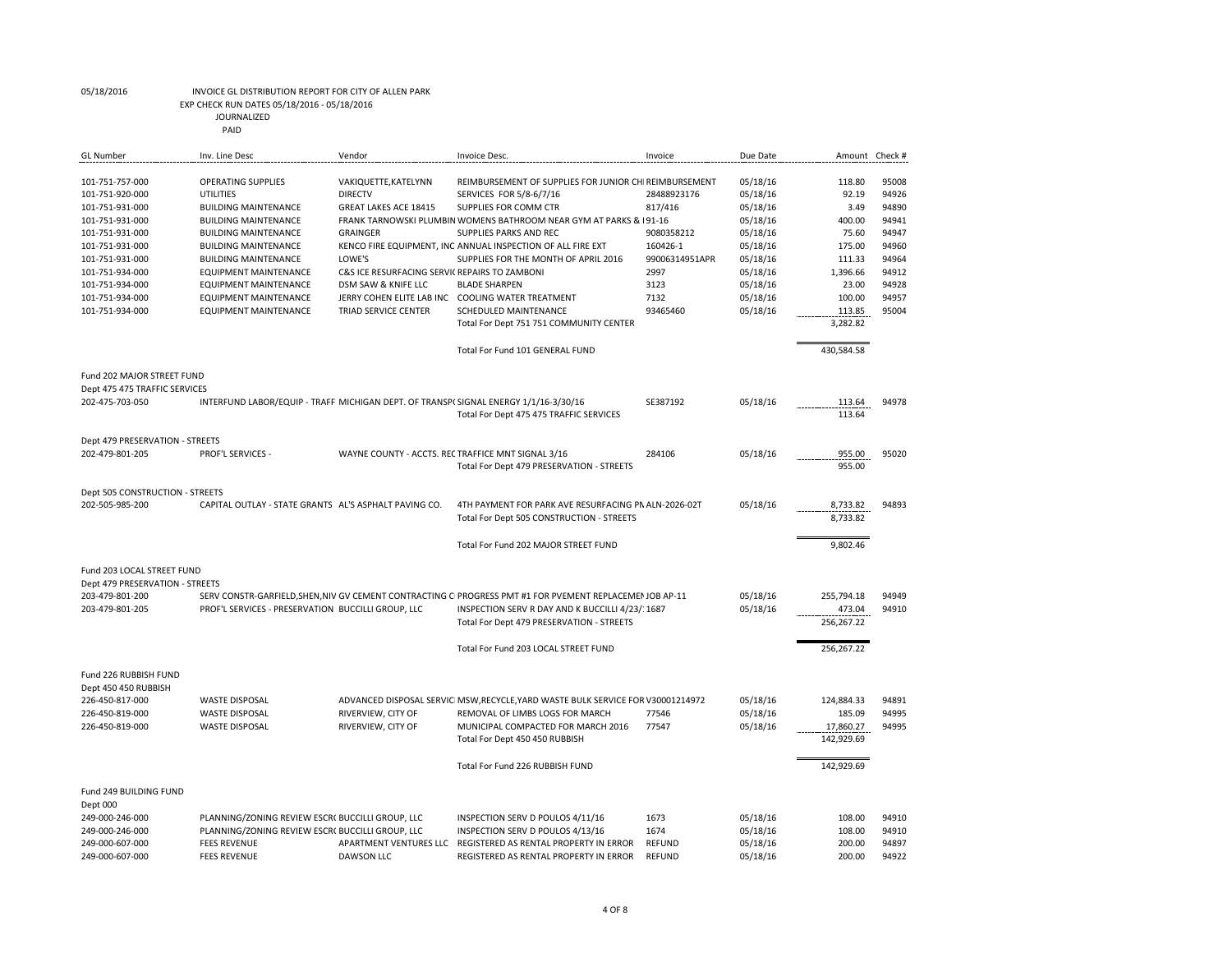EXP CHECK RUN DATES 05/18/2016 - 05/18/2016

JOURNALIZED

| <b>GL Number</b>                                                                                                                                                                                              | Inv. Line Desc                                                                                                                                                                                                                                                                                                                           | Vendor                                                                                                                                                                                                                           | Invoice Desc.                                                                                                                                                                                                                                                                                                                                                                                                                                                                     | Invoice                                                                                                | Due Date                                                                                                                         |                                                                                                                                   | Amount Check #                                                                                  |
|---------------------------------------------------------------------------------------------------------------------------------------------------------------------------------------------------------------|------------------------------------------------------------------------------------------------------------------------------------------------------------------------------------------------------------------------------------------------------------------------------------------------------------------------------------------|----------------------------------------------------------------------------------------------------------------------------------------------------------------------------------------------------------------------------------|-----------------------------------------------------------------------------------------------------------------------------------------------------------------------------------------------------------------------------------------------------------------------------------------------------------------------------------------------------------------------------------------------------------------------------------------------------------------------------------|--------------------------------------------------------------------------------------------------------|----------------------------------------------------------------------------------------------------------------------------------|-----------------------------------------------------------------------------------------------------------------------------------|-------------------------------------------------------------------------------------------------|
| 101-751-757-000<br>101-751-920-000<br>101-751-931-000<br>101-751-931-000<br>101-751-931-000<br>101-751-931-000<br>101-751-931-000<br>101-751-934-000<br>101-751-934-000<br>101-751-934-000<br>101-751-934-000 | <b>OPERATING SUPPLIES</b><br><b>UTILITIES</b><br><b>BUILDING MAINTENANCE</b><br><b>BUILDING MAINTENANCE</b><br><b>BUILDING MAINTENANCE</b><br><b>BUILDING MAINTENANCE</b><br><b>BUILDING MAINTENANCE</b><br><b>EQUIPMENT MAINTENANCE</b><br><b>EQUIPMENT MAINTENANCE</b><br><b>EQUIPMENT MAINTENANCE</b><br><b>EQUIPMENT MAINTENANCE</b> | VAKIQUETTE, KATELYNN<br><b>DIRECTV</b><br><b>GREAT LAKES ACE 18415</b><br>GRAINGER<br>LOWE'S<br>C&S ICE RESURFACING SERVIC REPAIRS TO ZAMBONI<br>DSM SAW & KNIFE LLC<br>JERRY COHEN ELITE LAB INC<br><b>TRIAD SERVICE CENTER</b> | REIMBURSEMENT OF SUPPLIES FOR JUNIOR CH REIMBURSEMENT<br>SERVICES FOR 5/8-6/7/16<br>SUPPLIES FOR COMM CTR<br>FRANK TARNOWSKI PLUMBIN WOMENS BATHROOM NEAR GYM AT PARKS & 191-16<br>SUPPLIES PARKS AND REC<br>KENCO FIRE EQUIPMENT, INC ANNUAL INSPECTION OF ALL FIRE EXT<br>SUPPLIES FOR THE MONTH OF APRIL 2016<br><b>BLADE SHARPEN</b><br><b>COOLING WATER TREATMENT</b><br>SCHEDULED MAINTENANCE<br>Total For Dept 751 751 COMMUNITY CENTER<br>Total For Fund 101 GENERAL FUND | 28488923176<br>817/416<br>9080358212<br>160426-1<br>99006314951APR<br>2997<br>3123<br>7132<br>93465460 | 05/18/16<br>05/18/16<br>05/18/16<br>05/18/16<br>05/18/16<br>05/18/16<br>05/18/16<br>05/18/16<br>05/18/16<br>05/18/16<br>05/18/16 | 118.80<br>92.19<br>3.49<br>400.00<br>75.60<br>175.00<br>111.33<br>1.396.66<br>23.00<br>100.00<br>113.85<br>3,282.82<br>430,584.58 | 95008<br>94926<br>94890<br>94941<br>94947<br>94960<br>94964<br>94912<br>94928<br>94957<br>95004 |
| Fund 202 MAJOR STREET FUND                                                                                                                                                                                    |                                                                                                                                                                                                                                                                                                                                          |                                                                                                                                                                                                                                  |                                                                                                                                                                                                                                                                                                                                                                                                                                                                                   |                                                                                                        |                                                                                                                                  |                                                                                                                                   |                                                                                                 |
| Dept 475 475 TRAFFIC SERVICES<br>202-475-703-050                                                                                                                                                              | INTERFUND LABOR/EQUIP - TRAFFI MICHIGAN DEPT. OF TRANSP(SIGNAL ENERGY 1/1/16-3/30/16                                                                                                                                                                                                                                                     |                                                                                                                                                                                                                                  | Total For Dept 475 475 TRAFFIC SERVICES                                                                                                                                                                                                                                                                                                                                                                                                                                           | SE387192                                                                                               | 05/18/16                                                                                                                         | 113.64<br>113.64                                                                                                                  | 94978                                                                                           |
| Dept 479 PRESERVATION - STREETS                                                                                                                                                                               |                                                                                                                                                                                                                                                                                                                                          |                                                                                                                                                                                                                                  |                                                                                                                                                                                                                                                                                                                                                                                                                                                                                   |                                                                                                        |                                                                                                                                  |                                                                                                                                   |                                                                                                 |
| 202-479-801-205                                                                                                                                                                                               | <b>PROF'L SERVICES -</b>                                                                                                                                                                                                                                                                                                                 | WAYNE COUNTY - ACCTS. REC TRAFFICE MNT SIGNAL 3/16                                                                                                                                                                               | Total For Dept 479 PRESERVATION - STREETS                                                                                                                                                                                                                                                                                                                                                                                                                                         | 284106                                                                                                 | 05/18/16                                                                                                                         | 955.00<br>955.00                                                                                                                  | 95020                                                                                           |
| Dept 505 CONSTRUCTION - STREETS<br>202-505-985-200                                                                                                                                                            | CAPITAL OUTLAY - STATE GRANTS AL'S ASPHALT PAVING CO.                                                                                                                                                                                                                                                                                    |                                                                                                                                                                                                                                  | 4TH PAYMENT FOR PARK AVE RESURFACING PN ALN-2026-02T<br>Total For Dept 505 CONSTRUCTION - STREETS                                                                                                                                                                                                                                                                                                                                                                                 |                                                                                                        | 05/18/16                                                                                                                         | 8,733.82<br>8,733.82                                                                                                              | 94893                                                                                           |
|                                                                                                                                                                                                               |                                                                                                                                                                                                                                                                                                                                          |                                                                                                                                                                                                                                  | Total For Fund 202 MAJOR STREET FUND                                                                                                                                                                                                                                                                                                                                                                                                                                              |                                                                                                        |                                                                                                                                  | 9,802.46                                                                                                                          |                                                                                                 |
| Fund 203 LOCAL STREET FUND<br>Dept 479 PRESERVATION - STREETS<br>203-479-801-200<br>203-479-801-205                                                                                                           | PROF'L SERVICES - PRESERVATION BUCCILLI GROUP, LLC                                                                                                                                                                                                                                                                                       |                                                                                                                                                                                                                                  | SERV CONSTR-GARFIELD, SHEN, NIV GV CEMENT CONTRACTING C PROGRESS PMT #1 FOR PVEMENT REPLACEMEN JOB AP-11<br>INSPECTION SERV R DAY AND K BUCCILLI 4/23/1687<br>Total For Dept 479 PRESERVATION - STREETS<br>Total For Fund 203 LOCAL STREET FUND                                                                                                                                                                                                                                   |                                                                                                        | 05/18/16<br>05/18/16                                                                                                             | 255,794.18<br>473.04<br>256,267.22<br>256,267.22                                                                                  | 94949<br>94910                                                                                  |
| Fund 226 RUBBISH FUND<br>Dept 450 450 RUBBISH<br>226-450-817-000<br>226-450-819-000<br>226-450-819-000                                                                                                        | <b>WASTE DISPOSAL</b><br><b>WASTE DISPOSAL</b><br><b>WASTE DISPOSAL</b>                                                                                                                                                                                                                                                                  | RIVERVIEW, CITY OF<br>RIVERVIEW, CITY OF                                                                                                                                                                                         | ADVANCED DISPOSAL SERVIC MSW, RECYCLE, YARD WASTE BULK SERVICE FOR V30001214972<br>REMOVAL OF LIMBS LOGS FOR MARCH<br>MUNICIPAL COMPACTED FOR MARCH 2016<br>Total For Dept 450 450 RUBBISH<br>Total For Fund 226 RUBBISH FUND                                                                                                                                                                                                                                                     | 77546<br>77547                                                                                         | 05/18/16<br>05/18/16<br>05/18/16                                                                                                 | 124,884.33<br>185.09<br>17,860.27<br>142,929.69<br>142,929.69                                                                     | 94891<br>94995<br>94995                                                                         |
| Fund 249 BUILDING FUND<br>Dept 000<br>249-000-246-000<br>249-000-246-000<br>249-000-607-000<br>249-000-607-000                                                                                                | PLANNING/ZONING REVIEW ESCR( BUCCILLI GROUP, LLC<br>PLANNING/ZONING REVIEW ESCR( BUCCILLI GROUP, LLC<br><b>FEES REVENUE</b><br><b>FEES REVENUE</b>                                                                                                                                                                                       | <b>DAWSON LLC</b>                                                                                                                                                                                                                | INSPECTION SERV D POULOS 4/11/16<br>INSPECTION SERV D POULOS 4/13/16<br>APARTMENT VENTURES LLC REGISTERED AS RENTAL PROPERTY IN ERROR<br>REGISTERED AS RENTAL PROPERTY IN ERROR                                                                                                                                                                                                                                                                                                   | 1673<br>1674<br><b>REFUND</b><br><b>REFUND</b>                                                         | 05/18/16<br>05/18/16<br>05/18/16<br>05/18/16                                                                                     | 108.00<br>108.00<br>200.00<br>200.00                                                                                              | 94910<br>94910<br>94897<br>94922                                                                |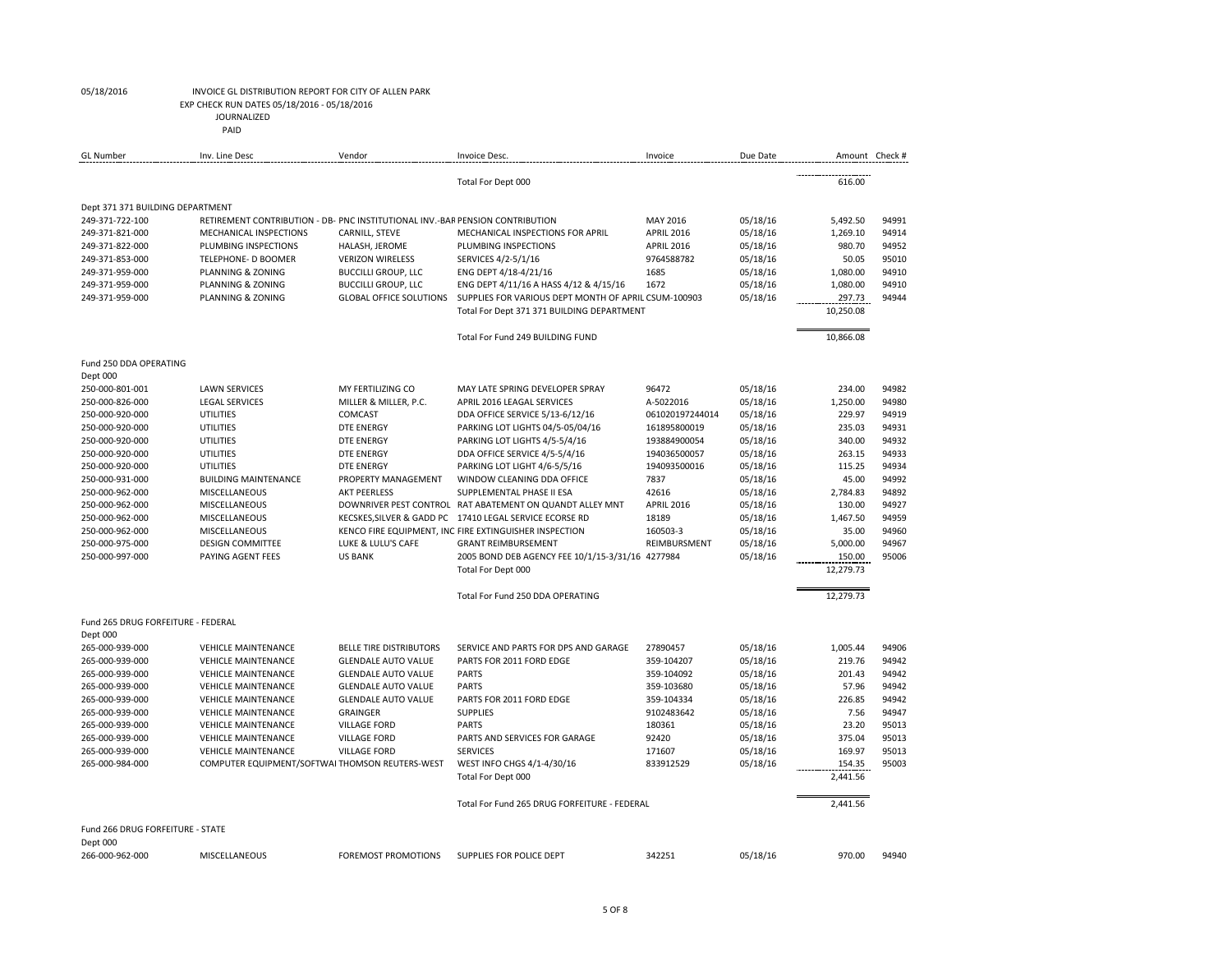## 05/18/2016 INVOICE GL DISTRIBUTION REPORT FOR CITY OF ALLEN PARK EXP CHECK RUN DATES 05/18/2016 - 05/18/2016

JOURNALIZED

| <b>GL Number</b>                               | Inv. Line Desc                                                                | Vendor                         | Invoice Desc.                                                                        | Invoice                  | Due Date | Amount Check #      |                |
|------------------------------------------------|-------------------------------------------------------------------------------|--------------------------------|--------------------------------------------------------------------------------------|--------------------------|----------|---------------------|----------------|
|                                                |                                                                               |                                | Total For Dept 000                                                                   |                          |          | 616.00              |                |
| Dept 371 371 BUILDING DEPARTMENT               |                                                                               |                                |                                                                                      |                          |          |                     |                |
| 249-371-722-100                                | RETIREMENT CONTRIBUTION - DB- PNC INSTITUTIONAL INV.-BAR PENSION CONTRIBUTION |                                |                                                                                      | MAY 2016                 | 05/18/16 | 5,492.50            | 94991          |
| 249-371-821-000                                | MECHANICAL INSPECTIONS                                                        | CARNILL, STEVE                 | MECHANICAL INSPECTIONS FOR APRIL                                                     | <b>APRIL 2016</b>        | 05/18/16 | 1,269.10            | 94914          |
| 249-371-822-000                                | PLUMBING INSPECTIONS                                                          | HALASH, JEROME                 | PLUMBING INSPECTIONS                                                                 | <b>APRIL 2016</b>        | 05/18/16 | 980.70              | 94952          |
| 249-371-853-000                                | TELEPHONE- D BOOMER                                                           | <b>VERIZON WIRELESS</b>        | SERVICES 4/2-5/1/16                                                                  | 9764588782               | 05/18/16 | 50.05               | 95010          |
| 249-371-959-000                                | PLANNING & ZONING                                                             | <b>BUCCILLI GROUP, LLC</b>     | ENG DEPT 4/18-4/21/16                                                                | 1685                     | 05/18/16 | 1.080.00            | 94910          |
| 249-371-959-000                                | PLANNING & ZONING                                                             | <b>BUCCILLI GROUP, LLC</b>     | ENG DEPT 4/11/16 A HASS 4/12 & 4/15/16                                               | 1672                     | 05/18/16 | 1,080.00            | 94910          |
| 249-371-959-000                                | PLANNING & ZONING                                                             | <b>GLOBAL OFFICE SOLUTIONS</b> | SUPPLIES FOR VARIOUS DEPT MONTH OF APRIL CSUM-100903                                 |                          | 05/18/16 | 297.73              | 94944          |
|                                                |                                                                               |                                | Total For Dept 371 371 BUILDING DEPARTMENT                                           |                          |          | 10,250.08           |                |
|                                                |                                                                               |                                | Total For Fund 249 BUILDING FUND                                                     |                          |          | 10,866.08           |                |
| Fund 250 DDA OPERATING                         |                                                                               |                                |                                                                                      |                          |          |                     |                |
| Dept 000                                       |                                                                               |                                |                                                                                      |                          |          |                     |                |
| 250-000-801-001                                | <b>LAWN SERVICES</b>                                                          | MY FERTILIZING CO              | MAY LATE SPRING DEVELOPER SPRAY                                                      | 96472                    | 05/18/16 | 234.00              | 94982          |
| 250-000-826-000                                | <b>LEGAL SERVICES</b>                                                         | MILLER & MILLER, P.C.          | APRIL 2016 LEAGAL SERVICES                                                           | A-5022016                | 05/18/16 | 1.250.00            | 94980          |
| 250-000-920-000                                | <b>UTILITIES</b>                                                              | COMCAST                        | DDA OFFICE SERVICE 5/13-6/12/16                                                      | 061020197244014          | 05/18/16 | 229.97              | 94919          |
| 250-000-920-000                                | <b>UTILITIES</b>                                                              | <b>DTE ENERGY</b>              | PARKING LOT LIGHTS 04/5-05/04/16                                                     | 161895800019             | 05/18/16 | 235.03              | 94931          |
| 250-000-920-000                                | <b>UTILITIES</b>                                                              | <b>DTE ENERGY</b>              | PARKING LOT LIGHTS 4/5-5/4/16                                                        | 193884900054             | 05/18/16 | 340.00              | 94932          |
| 250-000-920-000                                | <b>UTILITIES</b>                                                              | <b>DTE ENERGY</b>              | DDA OFFICE SERVICE 4/5-5/4/16                                                        | 194036500057             | 05/18/16 | 263.15              | 94933          |
| 250-000-920-000                                | <b>UTILITIES</b>                                                              | <b>DTE ENERGY</b>              | PARKING LOT LIGHT 4/6-5/5/16                                                         | 194093500016             | 05/18/16 | 115.25              | 94934          |
| 250-000-931-000                                | <b>BUILDING MAINTENANCE</b>                                                   | PROPERTY MANAGEMENT            | WINDOW CLEANING DDA OFFICE                                                           | 7837                     | 05/18/16 | 45.00               | 94992          |
| 250-000-962-000                                | MISCELLANEOUS                                                                 | <b>AKT PEERLESS</b>            | SUPPLEMENTAL PHASE II ESA                                                            | 42616                    | 05/18/16 | 2,784.83            | 94892          |
| 250-000-962-000                                | <b>MISCELLANEOUS</b>                                                          |                                | DOWNRIVER PEST CONTROL RAT ABATEMENT ON QUANDT ALLEY MNT                             | <b>APRIL 2016</b>        | 05/18/16 | 130.00              | 94927          |
| 250-000-962-000                                | MISCELLANEOUS                                                                 |                                | KECSKES, SILVER & GADD PC 17410 LEGAL SERVICE ECORSE RD                              | 18189                    | 05/18/16 | 1,467.50<br>35.00   | 94959<br>94960 |
| 250-000-962-000<br>250-000-975-000             | MISCELLANEOUS<br><b>DESIGN COMMITTEE</b>                                      | LUKE & LULU'S CAFE             | KENCO FIRE EQUIPMENT, INC FIRE EXTINGUISHER INSPECTION<br><b>GRANT REIMBURSEMENT</b> | 160503-3<br>REIMBURSMENT | 05/18/16 | 5,000.00            | 94967          |
| 250-000-997-000                                | PAYING AGENT FEES                                                             | <b>US BANK</b>                 |                                                                                      |                          | 05/18/16 |                     | 95006          |
|                                                |                                                                               |                                | 2005 BOND DEB AGENCY FEE 10/1/15-3/31/16 4277984<br>Total For Dept 000               |                          | 05/18/16 | 150.00<br>12,279.73 |                |
|                                                |                                                                               |                                | Total For Fund 250 DDA OPERATING                                                     |                          |          | 12.279.73           |                |
|                                                |                                                                               |                                |                                                                                      |                          |          |                     |                |
| Fund 265 DRUG FORFEITURE - FEDERAL<br>Dept 000 |                                                                               |                                |                                                                                      |                          |          |                     |                |
| 265-000-939-000                                | <b>VEHICLE MAINTENANCE</b>                                                    | <b>BELLE TIRE DISTRIBUTORS</b> | SERVICE AND PARTS FOR DPS AND GARAGE                                                 | 27890457                 | 05/18/16 | 1,005.44            | 94906          |
| 265-000-939-000                                | <b>VEHICLE MAINTENANCE</b>                                                    | <b>GLENDALE AUTO VALUE</b>     | PARTS FOR 2011 FORD EDGE                                                             | 359-104207               | 05/18/16 | 219.76              | 94942          |
| 265-000-939-000                                | <b>VEHICLE MAINTENANCE</b>                                                    | <b>GLENDALE AUTO VALUE</b>     | <b>PARTS</b>                                                                         | 359-104092               | 05/18/16 | 201.43              | 94942          |
| 265-000-939-000                                | <b>VEHICLE MAINTENANCE</b>                                                    | <b>GLENDALE AUTO VALUE</b>     | <b>PARTS</b>                                                                         | 359-103680               | 05/18/16 | 57.96               | 94942          |
| 265-000-939-000                                | <b>VEHICLE MAINTENANCE</b>                                                    | <b>GLENDALE AUTO VALUE</b>     | PARTS FOR 2011 FORD EDGE                                                             | 359-104334               | 05/18/16 | 226.85              | 94942          |
| 265-000-939-000                                | <b>VEHICLE MAINTENANCE</b>                                                    | <b>GRAINGER</b>                | <b>SUPPLIES</b>                                                                      | 9102483642               | 05/18/16 | 7.56                | 94947          |
| 265-000-939-000                                | <b>VEHICLE MAINTENANCE</b>                                                    | <b>VILLAGE FORD</b>            | <b>PARTS</b>                                                                         | 180361                   | 05/18/16 | 23.20               | 95013          |
| 265-000-939-000                                | <b>VEHICLE MAINTENANCE</b>                                                    | <b>VILLAGE FORD</b>            | PARTS AND SERVICES FOR GARAGE                                                        | 92420                    | 05/18/16 | 375.04              | 95013          |
| 265-000-939-000                                | <b>VEHICLE MAINTENANCE</b>                                                    | <b>VILLAGE FORD</b>            | <b>SERVICES</b>                                                                      | 171607                   | 05/18/16 | 169.97              | 95013          |
| 265-000-984-000                                | COMPUTER EQUIPMENT/SOFTWAI THOMSON REUTERS-WEST                               |                                | WEST INFO CHGS 4/1-4/30/16<br>Total For Dept 000                                     | 833912529                | 05/18/16 | 154.35<br>2,441.56  | 95003          |
|                                                |                                                                               |                                | Total For Fund 265 DRUG FORFEITURE - FEDERAL                                         |                          |          | 2,441.56            |                |
|                                                |                                                                               |                                |                                                                                      |                          |          |                     |                |
| Fund 266 DRUG FORFEITURE - STATE<br>Dept 000   |                                                                               |                                |                                                                                      |                          |          |                     |                |
| 266-000-962-000                                | <b>MISCELLANEOUS</b>                                                          | <b>FOREMOST PROMOTIONS</b>     | SUPPLIES FOR POLICE DEPT                                                             | 342251                   | 05/18/16 | 970.00              | 94940          |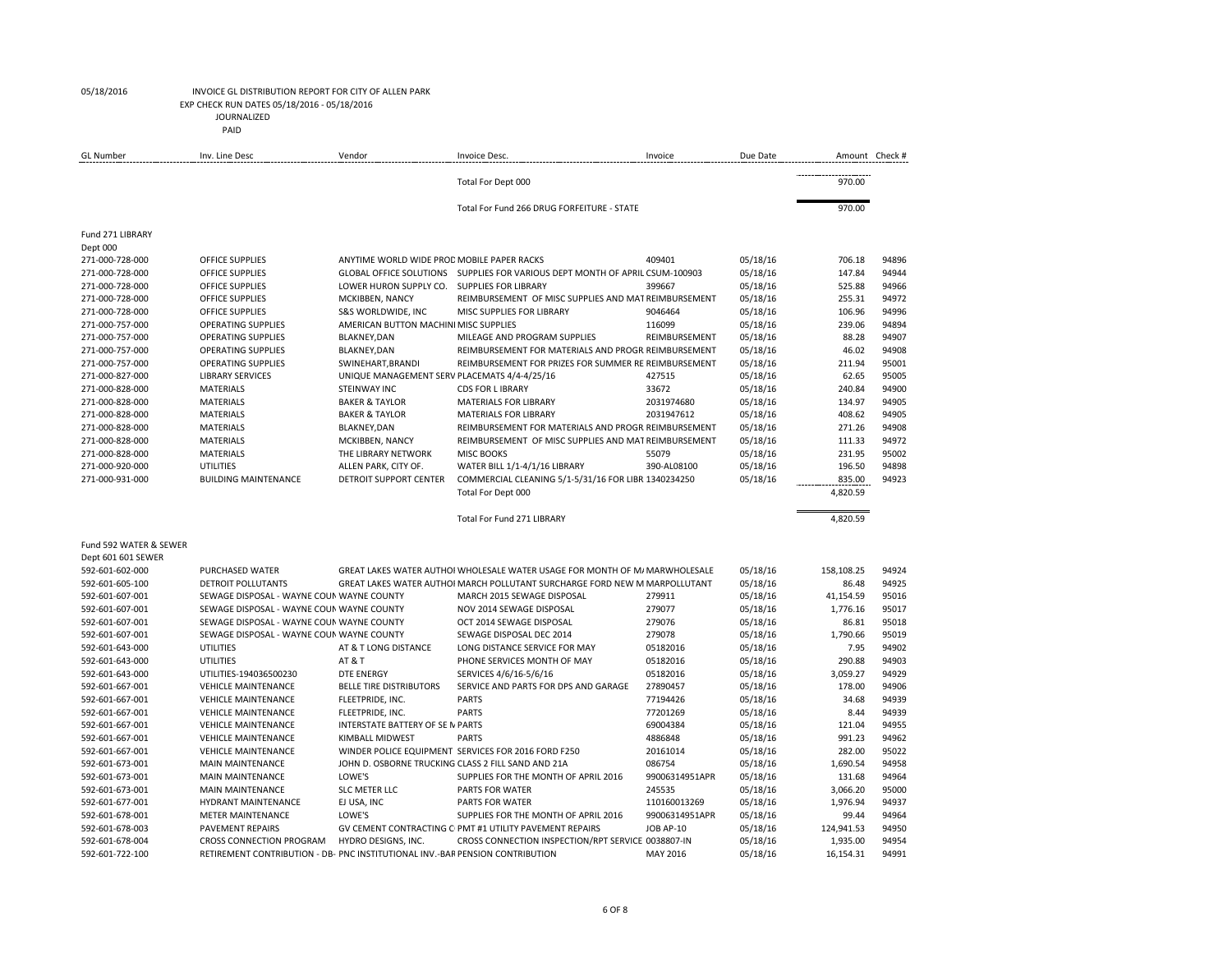EXP CHECK RUN DATES 05/18/2016 - 05/18/2016

JOURNALIZED

| <b>GL Number</b>       | Inv. Line Desc                                                                | Vendor                                             | Invoice Desc.                                                                 | Invoice        | Due Date | Amount Check # |       |
|------------------------|-------------------------------------------------------------------------------|----------------------------------------------------|-------------------------------------------------------------------------------|----------------|----------|----------------|-------|
|                        |                                                                               |                                                    | Total For Dept 000                                                            |                |          | 970.00         |       |
|                        |                                                                               |                                                    | Total For Fund 266 DRUG FORFEITURE - STATE                                    |                |          | 970.00         |       |
| Fund 271 LIBRARY       |                                                                               |                                                    |                                                                               |                |          |                |       |
| Dept 000               |                                                                               |                                                    |                                                                               |                |          |                |       |
| 271-000-728-000        | OFFICE SUPPLIES                                                               | ANYTIME WORLD WIDE PROD MOBILE PAPER RACKS         |                                                                               | 409401         | 05/18/16 | 706.18         | 94896 |
| 271-000-728-000        | OFFICE SUPPLIES                                                               |                                                    | GLOBAL OFFICE SOLUTIONS  SUPPLIES FOR VARIOUS DEPT MONTH OF APRIL CSUM-100903 |                | 05/18/16 | 147.84         | 94944 |
| 271-000-728-000        | OFFICE SUPPLIES                                                               | LOWER HURON SUPPLY CO.                             | <b>SUPPLIES FOR LIBRARY</b>                                                   | 399667         | 05/18/16 | 525.88         | 94966 |
| 271-000-728-000        | OFFICE SUPPLIES                                                               | MCKIBBEN, NANCY                                    | REIMBURSEMENT OF MISC SUPPLIES AND MAT REIMBURSEMENT                          |                | 05/18/16 | 255.31         | 94972 |
| 271-000-728-000        | <b>OFFICE SUPPLIES</b>                                                        | S&S WORLDWIDE, INC                                 | MISC SUPPLIES FOR LIBRARY                                                     | 9046464        | 05/18/16 | 106.96         | 94996 |
| 271-000-757-000        | <b>OPERATING SUPPLIES</b>                                                     | AMERICAN BUTTON MACHINI MISC SUPPLIES              |                                                                               | 116099         | 05/18/16 | 239.06         | 94894 |
| 271-000-757-000        | <b>OPERATING SUPPLIES</b>                                                     | <b>BLAKNEY, DAN</b>                                | MILEAGE AND PROGRAM SUPPLIES                                                  | REIMBURSEMENT  | 05/18/16 | 88.28          | 94907 |
| 271-000-757-000        | <b>OPERATING SUPPLIES</b>                                                     | <b>BLAKNEY, DAN</b>                                | REIMBURSEMENT FOR MATERIALS AND PROGR REIMBURSEMENT                           |                | 05/18/16 | 46.02          | 94908 |
| 271-000-757-000        | <b>OPERATING SUPPLIES</b>                                                     | SWINEHART, BRANDI                                  | REIMBURSEMENT FOR PRIZES FOR SUMMER RE REIMBURSEMENT                          |                | 05/18/16 | 211.94         | 95001 |
| 271-000-827-000        | <b>LIBRARY SERVICES</b>                                                       | UNIQUE MANAGEMENT SERV PLACEMATS 4/4-4/25/16       |                                                                               | 427515         | 05/18/16 | 62.65          | 95005 |
| 271-000-828-000        | <b>MATERIALS</b>                                                              | <b>STEINWAY INC</b>                                | <b>CDS FOR LIBRARY</b>                                                        | 33672          | 05/18/16 | 240.84         | 94900 |
| 271-000-828-000        | <b>MATERIALS</b>                                                              | <b>BAKER &amp; TAYLOR</b>                          | <b>MATERIALS FOR LIBRARY</b>                                                  | 2031974680     | 05/18/16 | 134.97         | 94905 |
| 271-000-828-000        | <b>MATERIALS</b>                                                              | <b>BAKER &amp; TAYLOR</b>                          | <b>MATERIALS FOR LIBRARY</b>                                                  | 2031947612     | 05/18/16 | 408.62         | 94905 |
| 271-000-828-000        | <b>MATERIALS</b>                                                              | <b>BLAKNEY, DAN</b>                                | REIMBURSEMENT FOR MATERIALS AND PROGR REIMBURSEMENT                           |                | 05/18/16 | 271.26         | 94908 |
| 271-000-828-000        | <b>MATERIALS</b>                                                              | MCKIBBEN, NANCY                                    | REIMBURSEMENT OF MISC SUPPLIES AND MAT REIMBURSEMENT                          |                | 05/18/16 | 111.33         | 94972 |
| 271-000-828-000        | <b>MATERIALS</b>                                                              | THE LIBRARY NETWORK                                | <b>MISC BOOKS</b>                                                             | 55079          | 05/18/16 | 231.95         | 95002 |
| 271-000-920-000        | UTILITIES                                                                     | ALLEN PARK, CITY OF.                               | WATER BILL 1/1-4/1/16 LIBRARY                                                 | 390-AL08100    | 05/18/16 | 196.50         | 94898 |
| 271-000-931-000        | <b>BUILDING MAINTENANCE</b>                                                   | DETROIT SUPPORT CENTER                             | COMMERCIAL CLEANING 5/1-5/31/16 FOR LIBR 1340234250                           |                | 05/18/16 | 835.00         | 94923 |
|                        |                                                                               |                                                    | Total For Dept 000                                                            |                |          | 4,820.59       |       |
|                        |                                                                               |                                                    | Total For Fund 271 LIBRARY                                                    |                |          | 4,820.59       |       |
| Fund 592 WATER & SEWER |                                                                               |                                                    |                                                                               |                |          |                |       |
| Dept 601 601 SEWER     |                                                                               |                                                    |                                                                               |                |          |                |       |
| 592-601-602-000        | PURCHASED WATER                                                               |                                                    | GREAT LAKES WATER AUTHOI WHOLESALE WATER USAGE FOR MONTH OF M/ MARWHOLESALE   |                | 05/18/16 | 158,108.25     | 94924 |
| 592-601-605-100        | DETROIT POLLUTANTS                                                            |                                                    | GREAT LAKES WATER AUTHOI MARCH POLLUTANT SURCHARGE FORD NEW M MARPOLLUTANT    |                | 05/18/16 | 86.48          | 94925 |
| 592-601-607-001        | SEWAGE DISPOSAL - WAYNE COUN WAYNE COUNTY                                     |                                                    | MARCH 2015 SEWAGE DISPOSAL                                                    | 279911         | 05/18/16 | 41,154.59      | 95016 |
| 592-601-607-001        | SEWAGE DISPOSAL - WAYNE COUN WAYNE COUNTY                                     |                                                    | NOV 2014 SEWAGE DISPOSAL                                                      | 279077         | 05/18/16 | 1,776.16       | 95017 |
| 592-601-607-001        | SEWAGE DISPOSAL - WAYNE COUN WAYNE COUNTY                                     |                                                    | OCT 2014 SEWAGE DISPOSAL                                                      | 279076         | 05/18/16 | 86.81          | 95018 |
| 592-601-607-001        | SEWAGE DISPOSAL - WAYNE COUN WAYNE COUNTY                                     |                                                    | SEWAGE DISPOSAL DEC 2014                                                      | 279078         | 05/18/16 | 1,790.66       | 95019 |
| 592-601-643-000        | UTILITIES                                                                     | AT & T LONG DISTANCE                               | LONG DISTANCE SERVICE FOR MAY                                                 | 05182016       | 05/18/16 | 7.95           | 94902 |
| 592-601-643-000        | <b>UTILITIES</b>                                                              | AT&T                                               | PHONE SERVICES MONTH OF MAY                                                   | 05182016       | 05/18/16 | 290.88         | 94903 |
| 592-601-643-000        | UTILITIES-194036500230                                                        | <b>DTE ENERGY</b>                                  | SERVICES 4/6/16-5/6/16                                                        | 05182016       | 05/18/16 | 3,059.27       | 94929 |
| 592-601-667-001        | <b>VEHICLE MAINTENANCE</b>                                                    | <b>BELLE TIRE DISTRIBUTORS</b>                     | SERVICE AND PARTS FOR DPS AND GARAGE                                          | 27890457       | 05/18/16 | 178.00         | 94906 |
| 592-601-667-001        | <b>VEHICLE MAINTENANCE</b>                                                    | FLEETPRIDE, INC.                                   | <b>PARTS</b>                                                                  | 77194426       | 05/18/16 | 34.68          | 94939 |
| 592-601-667-001        | <b>VEHICLE MAINTENANCE</b>                                                    | FLEETPRIDE, INC.                                   | <b>PARTS</b>                                                                  | 77201269       | 05/18/16 | 8.44           | 94939 |
| 592-601-667-001        | <b>VEHICLE MAINTENANCE</b>                                                    | INTERSTATE BATTERY OF SE IN PARTS                  |                                                                               | 69004384       | 05/18/16 | 121.04         | 94955 |
| 592-601-667-001        | <b>VEHICLE MAINTENANCE</b>                                                    | KIMBALL MIDWEST                                    | <b>PARTS</b>                                                                  | 4886848        | 05/18/16 | 991.23         | 94962 |
| 592-601-667-001        | <b>VEHICLE MAINTENANCE</b>                                                    |                                                    | WINDER POLICE EQUIPMENT SERVICES FOR 2016 FORD F250                           | 20161014       | 05/18/16 | 282.00         | 95022 |
| 592-601-673-001        | <b>MAIN MAINTENANCE</b>                                                       | JOHN D. OSBORNE TRUCKING CLASS 2 FILL SAND AND 21A |                                                                               | 086754         | 05/18/16 | 1,690.54       | 94958 |
| 592-601-673-001        | <b>MAIN MAINTENANCE</b>                                                       | LOWE'S                                             | SUPPLIES FOR THE MONTH OF APRIL 2016                                          | 99006314951APR | 05/18/16 | 131.68         | 94964 |
| 592-601-673-001        | <b>MAIN MAINTENANCE</b>                                                       | SLC METER LLC                                      | PARTS FOR WATER                                                               | 245535         | 05/18/16 | 3,066.20       | 95000 |
| 592-601-677-001        | <b>HYDRANT MAINTENANCE</b>                                                    | EJ USA, INC                                        | PARTS FOR WATER                                                               | 110160013269   | 05/18/16 | 1,976.94       | 94937 |
| 592-601-678-001        | <b>METER MAINTENANCE</b>                                                      | LOWE'S                                             | SUPPLIES FOR THE MONTH OF APRIL 2016                                          | 99006314951APR | 05/18/16 | 99.44          | 94964 |
| 592-601-678-003        | <b>PAVEMENT REPAIRS</b>                                                       |                                                    | GV CEMENT CONTRACTING C PMT #1 UTILITY PAVEMENT REPAIRS                       | JOB AP-10      | 05/18/16 | 124,941.53     | 94950 |
| 592-601-678-004        | CROSS CONNECTION PROGRAM                                                      | HYDRO DESIGNS, INC.                                | CROSS CONNECTION INSPECTION/RPT SERVICE 0038807-IN                            |                | 05/18/16 | 1,935.00       | 94954 |
| 592-601-722-100        | RETIREMENT CONTRIBUTION - DB- PNC INSTITUTIONAL INV.-BAR PENSION CONTRIBUTION |                                                    |                                                                               | MAY 2016       | 05/18/16 | 16,154.31      | 94991 |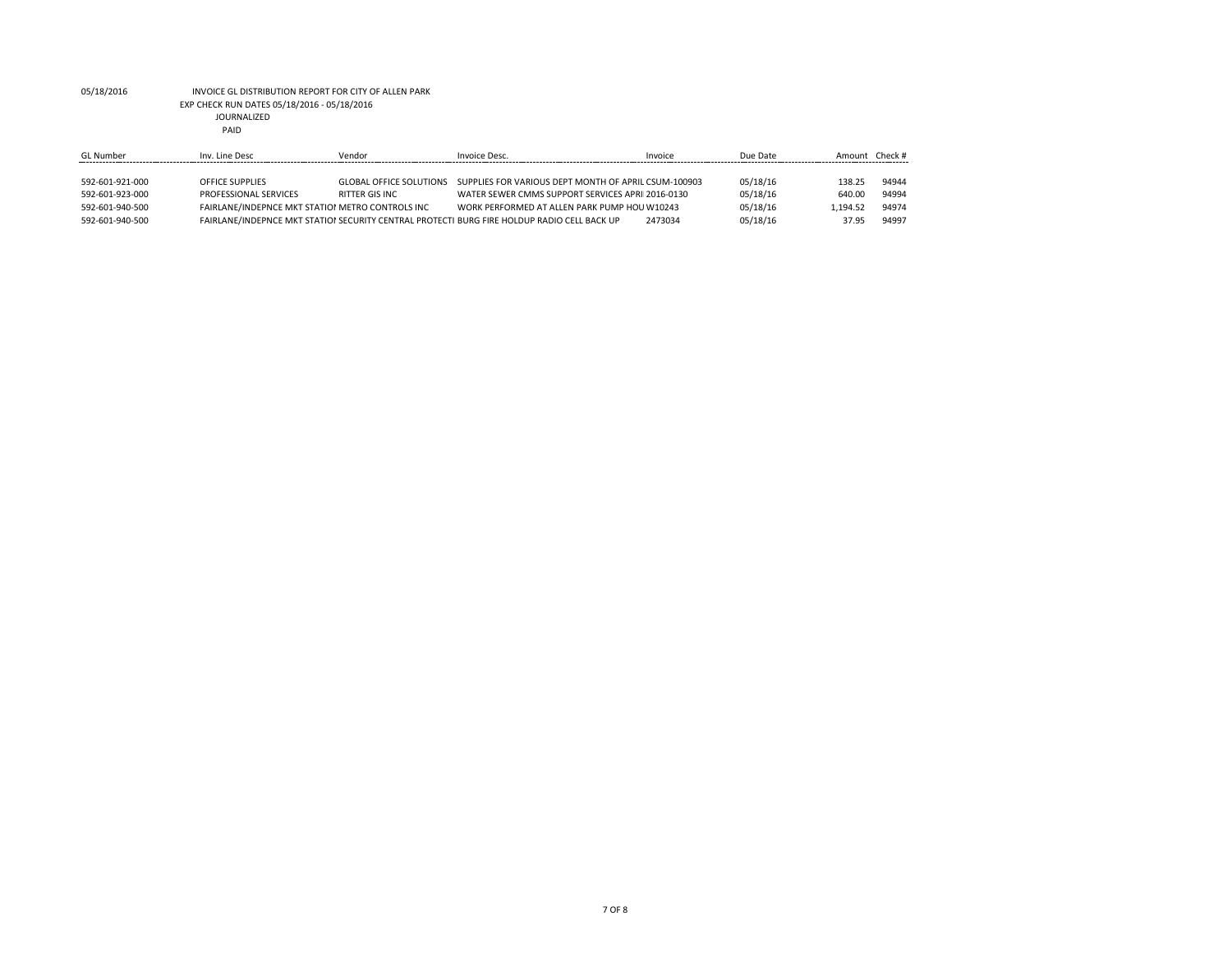### 05/18/2016 INVOICE GL DISTRIBUTION REPORT FOR CITY OF ALLEN PARK EXP CHECK RUN DATES 05/18/2016 - 05/18/2016 JOURNALIZED PAID

| <b>GL Number</b> | Inv. Line Desc                                   | Vendor                         | Invoice Desc.                                                                               | Invoice | Due Date | Amount Check # |       |
|------------------|--------------------------------------------------|--------------------------------|---------------------------------------------------------------------------------------------|---------|----------|----------------|-------|
|                  |                                                  |                                |                                                                                             |         |          |                |       |
| 592-601-921-000  | <b>OFFICE SUPPLIES</b>                           | <b>GLOBAL OFFICE SOLUTIONS</b> | SUPPLIES FOR VARIOUS DEPT MONTH OF APRIL CSUM-100903                                        |         | 05/18/16 | 138.25         | 94944 |
| 592-601-923-000  | PROFESSIONAL SERVICES                            | RITTER GIS INC                 | WATER SEWER CMMS SUPPORT SERVICES APRI 2016-0130                                            |         | 05/18/16 | 640.00         | 94994 |
| 592-601-940-500  | FAIRLANE/INDEPNCE MKT STATION METRO CONTROLS INC |                                | WORK PERFORMED AT ALLEN PARK PUMP HOLL W10243                                               |         | 05/18/16 | 1.194.52       | 94974 |
| 592-601-940-500  |                                                  |                                | FAIRLANE/INDEPNCE MKT STATIOI SECURITY CENTRAL PROTECTI BURG FIRE HOLDUP RADIO CELL BACK UP | 2473034 | 05/18/16 | 37.95          | 94997 |